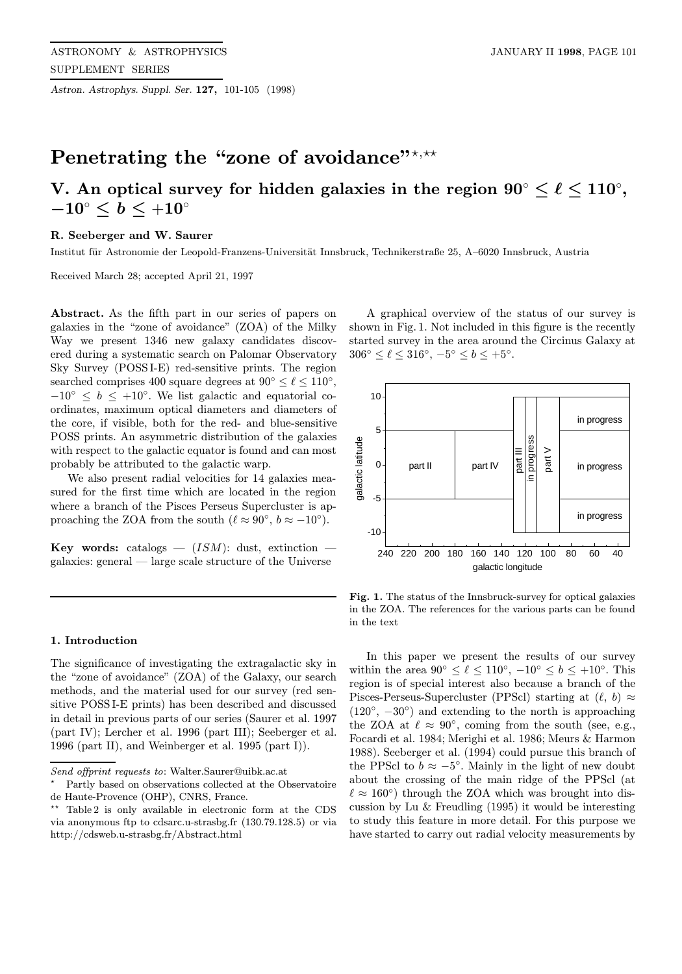Astron. Astrophys. Suppl. Ser. 127, 101-105 (1998)

# Penetrating the "zone of avoidance"\*,\*\*

## V. An optical survey for hidden galaxies in the region  $90^{\circ} \leq \ell \leq 110^{\circ},$  $-10^\circ \leq b \leq +10^\circ$

## R. Seeberger and W. Saurer

Institut für Astronomie der Leopold-Franzens-Universität Innsbruck, Technikerstraße 25, A–6020 Innsbruck, Austria

Received March 28; accepted April 21, 1997

Abstract. As the fifth part in our series of papers on galaxies in the "zone of avoidance" (ZOA) of the Milky Way we present 1346 new galaxy candidates discovered during a systematic search on Palomar Observatory Sky Survey (POSS I-E) red-sensitive prints. The region searched comprises 400 square degrees at  $90^{\circ} \le \ell \le 110^{\circ}$ ,  $-10$ <sup>°</sup>  $\leq b \leq +10$ <sup>°</sup>. We list galactic and equatorial coordinates, maximum optical diameters and diameters of the core, if visible, both for the red- and blue-sensitive POSS prints. An asymmetric distribution of the galaxies with respect to the galactic equator is found and can most probably be attributed to the galactic warp.

We also present radial velocities for 14 galaxies measured for the first time which are located in the region where a branch of the Pisces Perseus Supercluster is approaching the ZOA from the south ( $\ell \approx 90^{\circ}$ ,  $b \approx -10^{\circ}$ ).

**Key words:** catalogs  $-$  (*ISM*): dust, extinction  $$ galaxies: general — large scale structure of the Universe

#### 1. Introduction

The significance of investigating the extragalactic sky in the "zone of avoidance" (ZOA) of the Galaxy, our search methods, and the material used for our survey (red sensitive POSS I-E prints) has been described and discussed in detail in previous parts of our series (Saurer et al. 1997 (part IV); Lercher et al. 1996 (part III); Seeberger et al. 1996 (part II), and Weinberger et al. 1995 (part I)).

A graphical overview of the status of our survey is shown in Fig. 1. Not included in this figure is the recently started survey in the area around the Circinus Galaxy at  $306° \le \ell \le 316°, -5° \le b \le +5°.$ 



Fig. 1. The status of the Innsbruck-survey for optical galaxies in the ZOA. The references for the various parts can be found in the text

In this paper we present the results of our survey within the area  $90^\circ \leq \ell \leq 110^\circ$ ,  $-10^\circ \leq b \leq +10^\circ$ . This region is of special interest also because a branch of the Pisces-Perseus-Supercluster (PPScl) starting at  $(\ell, b) \approx$  $(120°, -30°)$  and extending to the north is approaching the ZOA at  $\ell \approx 90^{\circ}$ , coming from the south (see, e.g., Focardi et al. 1984; Merighi et al. 1986; Meurs & Harmon 1988). Seeberger et al. (1994) could pursue this branch of the PPScl to  $b \approx -5^\circ$ . Mainly in the light of new doubt about the crossing of the main ridge of the PPScl (at  $\ell \approx 160°$ ) through the ZOA which was brought into discussion by Lu & Freudling (1995) it would be interesting to study this feature in more detail. For this purpose we have started to carry out radial velocity measurements by

Send offprint requests to: Walter.Saurer@uibk.ac.at

<sup>?</sup> Partly based on observations collected at the Observatoire de Haute-Provence (OHP), CNRS, France.

Table 2 is only available in electronic form at the CDS via anonymous ftp to cdsarc.u-strasbg.fr (130.79.128.5) or via http://cdsweb.u-strasbg.fr/Abstract.html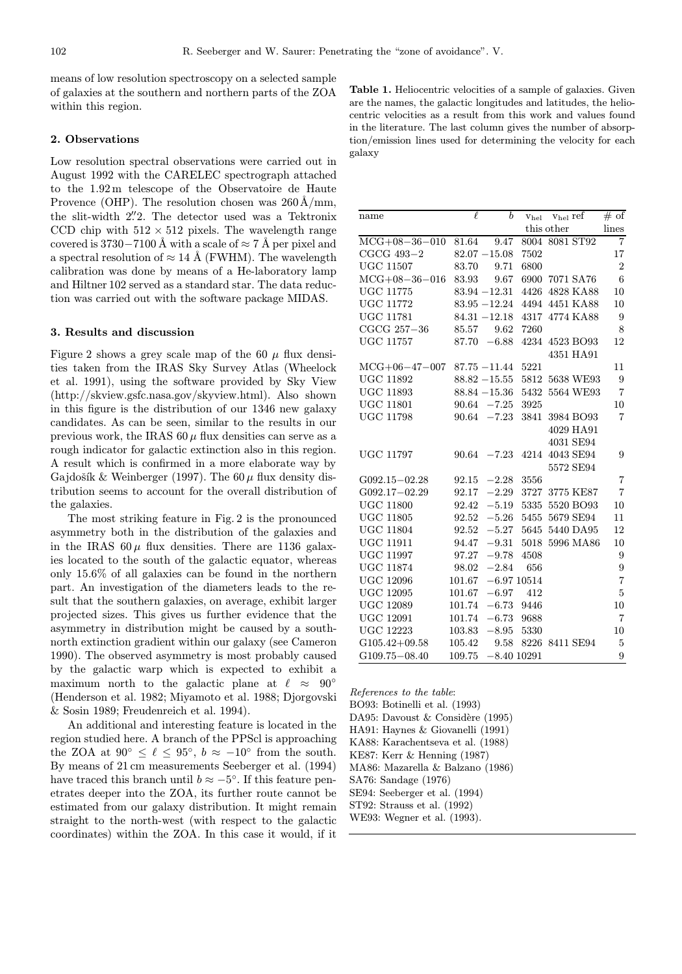means of low resolution spectroscopy on a selected sample of galaxies at the southern and northern parts of the ZOA within this region.

## 2. Observations

Low resolution spectral observations were carried out in August 1992 with the CARELEC spectrograph attached to the 1.92 m telescope of the Observatoire de Haute Provence (OHP). The resolution chosen was  $260 \text{\AA/mm}$ , the slit-width 2". The detector used was a Tektronix CCD chip with  $512 \times 512$  pixels. The wavelength range covered is 3730−7100 Å with a scale of  $\approx$  7 Å per pixel and a spectral resolution of  $\approx 14 \text{ Å}$  (FWHM). The wavelength calibration was done by means of a He-laboratory lamp and Hiltner 102 served as a standard star. The data reduction was carried out with the software package MIDAS.

### 3. Results and discussion

Figure 2 shows a grey scale map of the 60  $\mu$  flux densities taken from the IRAS Sky Survey Atlas (Wheelock et al. 1991), using the software provided by Sky View (http://skview.gsfc.nasa.gov/skyview.html). Also shown in this figure is the distribution of our 1346 new galaxy candidates. As can be seen, similar to the results in our previous work, the IRAS  $60 \mu$  flux densities can serve as a rough indicator for galactic extinction also in this region. A result which is confirmed in a more elaborate way by Gajdošík & Weinberger (1997). The 60  $\mu$  flux density distribution seems to account for the overall distribution of the galaxies.

The most striking feature in Fig. 2 is the pronounced asymmetry both in the distribution of the galaxies and in the IRAS  $60 \mu$  flux densities. There are 1136 galaxies located to the south of the galactic equator, whereas only 15.6% of all galaxies can be found in the northern part. An investigation of the diameters leads to the result that the southern galaxies, on average, exhibit larger projected sizes. This gives us further evidence that the asymmetry in distribution might be caused by a southnorth extinction gradient within our galaxy (see Cameron 1990). The observed asymmetry is most probably caused by the galactic warp which is expected to exhibit a maximum north to the galactic plane at  $\ell \approx 90°$ (Henderson et al. 1982; Miyamoto et al. 1988; Djorgovski & Sosin 1989; Freudenreich et al. 1994).

An additional and interesting feature is located in the region studied here. A branch of the PPScl is approaching the ZOA at  $90^{\circ} \leq \ell \leq 95^{\circ}$ ,  $b \approx -10^{\circ}$  from the south. By means of 21 cm measurements Seeberger et al. (1994) have traced this branch until  $b \approx -5^\circ$ . If this feature penetrates deeper into the ZOA, its further route cannot be estimated from our galaxy distribution. It might remain straight to the north-west (with respect to the galactic coordinates) within the ZOA. In this case it would, if it

Table 1. Heliocentric velocities of a sample of galaxies. Given are the names, the galactic longitudes and latitudes, the heliocentric velocities as a result from this work and values found in the literature. The last column gives the number of absorption/emission lines used for determining the velocity for each galaxy

| name              | $\ell$ | b               |               | Vhel Vhel ref  | # of           |
|-------------------|--------|-----------------|---------------|----------------|----------------|
|                   |        |                 | this other    | lines          |                |
| $MCG+08-36-010$   | 81.64  | 9.47            |               | 8004 8081 ST92 | $\overline{7}$ |
| CGCG 493-2        |        | $82.07 - 15.08$ | 7502          |                | 17             |
| <b>UGC 11507</b>  | 83.70  | 9.71            | 6800          |                | $\overline{2}$ |
| $MCG+08-36-016$   | 83.93  | 9.67            |               | 6900 7071 SA76 | 6              |
| $UGC$ 11775       |        | $83.94 - 12.31$ |               | 4426 4828 KA88 | 10             |
| $UGC$ 11772       |        | $83.95 - 12.24$ |               | 4494 4451 KA88 | 10             |
| $UGC$ 11781       |        | $84.31 - 12.18$ |               | 4317 4774 KA88 | 9              |
| $CGCG 257-36$     | 85.57  | 9.62            | 7260          |                | 8              |
| <b>UGC 11757</b>  | 87.70  | $-6.88$         |               | 4234 4523 BO93 | 12             |
|                   |        |                 |               | 4351 HA91      |                |
| $MCG+06-47-007$   |        | $87.75 - 11.44$ | 5221          |                | 11             |
| <b>UGC 11892</b>  |        | $88.82 - 15.55$ |               | 5812 5638 WE93 | 9              |
| <b>UGC 11893</b>  |        | $88.84 - 15.36$ | 5432          | 5564 WE93      | $\overline{7}$ |
| <b>UGC 11801</b>  | 90.64  | $-7.25$         | 3925          |                | 10             |
| <b>UGC 11798</b>  | 90.64  | $-7.23$         | 3841          | 3984 BO93      | $\overline{7}$ |
|                   |        |                 |               | 4029 HA91      |                |
|                   |        |                 |               | 4031 SE94      |                |
| <b>UGC 11797</b>  | 90.64  | $-7.23$         |               | 4214 4043 SE94 | 9              |
|                   |        |                 |               | 5572 SE94      |                |
| $G092.15 - 02.28$ | 92.15  | $-2.28$         | 3556          |                | $\overline{7}$ |
| $G092.17 - 02.29$ | 92.17  | $-2.29$         | 3727          | 3775 KE87      | $\overline{7}$ |
| <b>UGC 11800</b>  | 92.42  | $-5.19$         |               | 5335 5520 BO93 | 10             |
| <b>UGC 11805</b>  | 92.52  | $-5.26$         |               | 5455 5679 SE94 | 11             |
| <b>UGC 11804</b>  | 92.52  | $-5.27$         |               | 5645 5440 DA95 | 12             |
| <b>UGC 11911</b>  | 94.47  | $-9.31$         |               | 5018 5996 MA86 | 10             |
| <b>UGC 11997</b>  | 97.27  | $-9.78$         | 4508          |                | 9              |
| <b>UGC 11874</b>  | 98.02  | $-2.84$         | 656           |                | 9              |
| <b>UGC 12096</b>  | 101.67 |                 | $-6.97$ 10514 |                | $\overline{7}$ |
| <b>UGC 12095</b>  | 101.67 | $-6.97$         | 412           |                | $\overline{5}$ |
| <b>UGC 12089</b>  | 101.74 | $-6.73$         | 9446          |                | 10             |
| <b>UGC 12091</b>  | 101.74 | $-6.73$         | 9688          |                | $\overline{7}$ |
| <b>UGC 12223</b>  | 103.83 | $-8.95$         | 5330          |                | 10             |
| $G105.42+09.58$   | 105.42 | 9.58            |               | 8226 8411 SE94 | $\mathbf 5$    |
| $G109.75 - 08.40$ | 109.75 |                 | $-8.4010291$  |                | 9              |

References to the table: BO93: Botinelli et al. (1993) DA95: Davoust & Considère (1995) HA91: Haynes & Giovanelli (1991) KA88: Karachentseva et al. (1988) KE87: Kerr & Henning (1987) MA86: Mazarella & Balzano (1986) SA76: Sandage (1976) SE94: Seeberger et al. (1994) ST92: Strauss et al. (1992) WE93: Wegner et al. (1993).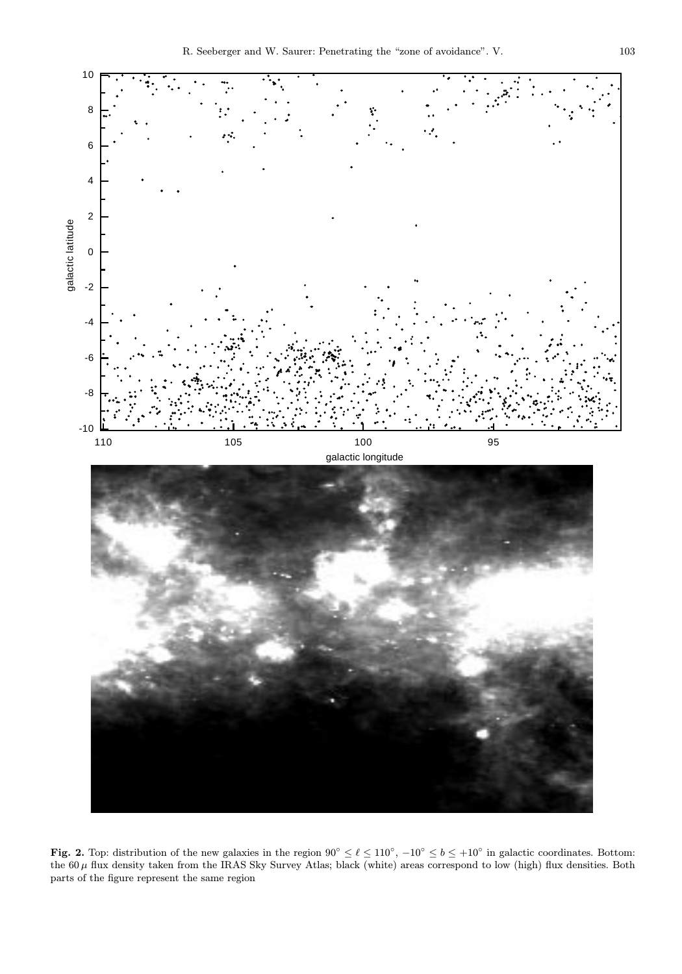

Fig. 2. Top: distribution of the new galaxies in the region  $90^{\circ} \leq \ell \leq 110^{\circ}$ ,  $-10^{\circ} \leq b \leq +10^{\circ}$  in galactic coordinates. Bottom: the  $60\,\mu$  flux density taken from the IRAS Sky Survey Atlas; black (white) areas correspond to low (high) flux densities. Both parts of the figure represent the same region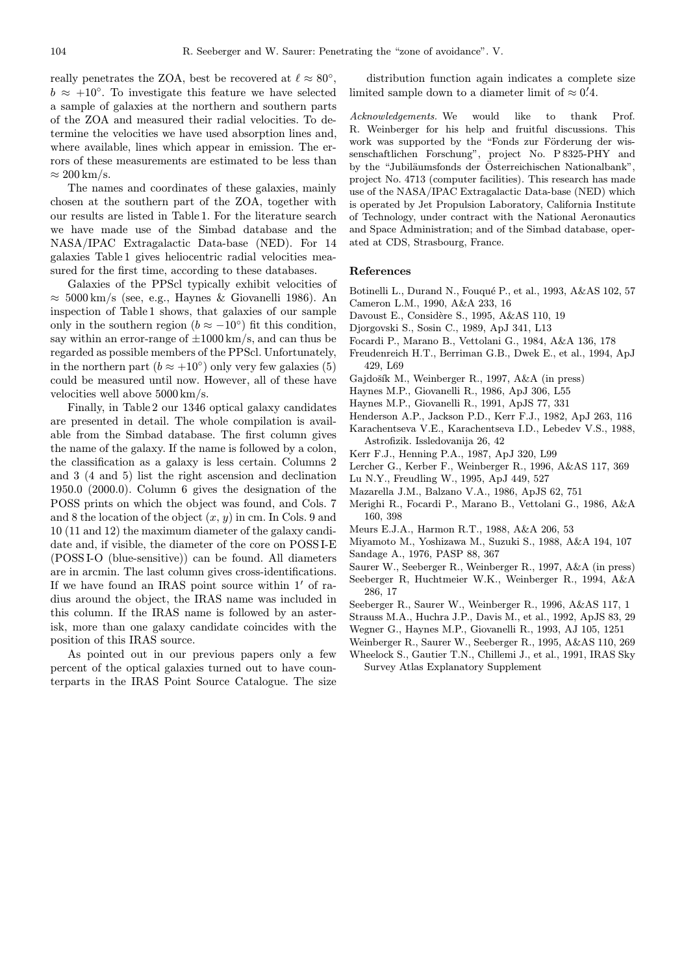really penetrates the ZOA, best be recovered at  $\ell \approx 80^{\circ}$ ,  $b \approx +10^{\circ}$ . To investigate this feature we have selected a sample of galaxies at the northern and southern parts of the ZOA and measured their radial velocities. To determine the velocities we have used absorption lines and, where available, lines which appear in emission. The errors of these measurements are estimated to be less than  $\approx 200 \,\mathrm{km/s}$ .

The names and coordinates of these galaxies, mainly chosen at the southern part of the ZOA, together with our results are listed in Table 1. For the literature search we have made use of the Simbad database and the NASA/IPAC Extragalactic Data-base (NED). For 14 galaxies Table 1 gives heliocentric radial velocities measured for the first time, according to these databases.

Galaxies of the PPScl typically exhibit velocities of  $\approx 5000 \,\mathrm{km/s}$  (see, e.g., Haynes & Giovanelli 1986). An inspection of Table 1 shows, that galaxies of our sample only in the southern region ( $b \approx -10^{\circ}$ ) fit this condition, say within an error-range of  $\pm 1000 \mathrm{km/s}$ , and can thus be regarded as possible members of the PPScl. Unfortunately, in the northern part  $(b \approx +10^{\circ})$  only very few galaxies (5) could be measured until now. However, all of these have velocities well above 5000 km/s.

Finally, in Table 2 our 1346 optical galaxy candidates are presented in detail. The whole compilation is available from the Simbad database. The first column gives the name of the galaxy. If the name is followed by a colon, the classification as a galaxy is less certain. Columns 2 and 3 (4 and 5) list the right ascension and declination 1950.0 (2000.0). Column 6 gives the designation of the POSS prints on which the object was found, and Cols. 7 and 8 the location of the object  $(x, y)$  in cm. In Cols. 9 and 10 (11 and 12) the maximum diameter of the galaxy candidate and, if visible, the diameter of the core on POSS I-E (POSS I-O (blue-sensitive)) can be found. All diameters are in arcmin. The last column gives cross-identifications. If we have found an IRAS point source within  $1'$  of radius around the object, the IRAS name was included in this column. If the IRAS name is followed by an asterisk, more than one galaxy candidate coincides with the position of this IRAS source.

As pointed out in our previous papers only a few percent of the optical galaxies turned out to have counterparts in the IRAS Point Source Catalogue. The size

distribution function again indicates a complete size limited sample down to a diameter limit of  $\approx 0.4$ .

Acknowledgements. We would like to thank Prof. R. Weinberger for his help and fruitful discussions. This work was supported by the "Fonds zur Förderung der wissenschaftlichen Forschung", project No. P 8325-PHY and by the "Jubiläumsfonds der Österreichischen Nationalbank", project No. 4713 (computer facilities). This research has made use of the NASA/IPAC Extragalactic Data-base (NED) which is operated by Jet Propulsion Laboratory, California Institute of Technology, under contract with the National Aeronautics and Space Administration; and of the Simbad database, operated at CDS, Strasbourg, France.

#### References

- Botinelli L., Durand N., Fouqué P., et al., 1993, A&AS 102, 57 Cameron L.M., 1990, A&A 233, 16
- Davoust E., Considère S., 1995, A&AS 110, 19
- Djorgovski S., Sosin C., 1989, ApJ 341, L13
- Focardi P., Marano B., Vettolani G., 1984, A&A 136, 178
- Freudenreich H.T., Berriman G.B., Dwek E., et al., 1994, ApJ 429, L69
- Gajdošík M., Weinberger R., 1997, A&A (in press)
- Haynes M.P., Giovanelli R., 1986, ApJ 306, L55
- Haynes M.P., Giovanelli R., 1991, ApJS 77, 331
- Henderson A.P., Jackson P.D., Kerr F.J., 1982, ApJ 263, 116
- Karachentseva V.E., Karachentseva I.D., Lebedev V.S., 1988, Astrofizik. Issledovanija 26, 42
- Kerr F.J., Henning P.A., 1987, ApJ 320, L99
- Lercher G., Kerber F., Weinberger R., 1996, A&AS 117, 369
- Lu N.Y., Freudling W., 1995, ApJ 449, 527
- Mazarella J.M., Balzano V.A., 1986, ApJS 62, 751
- Merighi R., Focardi P., Marano B., Vettolani G., 1986, A&A 160, 398
- Meurs E.J.A., Harmon R.T., 1988, A&A 206, 53
- Miyamoto M., Yoshizawa M., Suzuki S., 1988, A&A 194, 107 Sandage A., 1976, PASP 88, 367
- Saurer W., Seeberger R., Weinberger R., 1997, A&A (in press)
- Seeberger R, Huchtmeier W.K., Weinberger R., 1994, A&A 286, 17
- Seeberger R., Saurer W., Weinberger R., 1996, A&AS 117, 1
- Strauss M.A., Huchra J.P., Davis M., et al., 1992, ApJS 83, 29
- Wegner G., Haynes M.P., Giovanelli R., 1993, AJ 105, 1251
- Weinberger R., Saurer W., Seeberger R., 1995, A&AS 110, 269
- Wheelock S., Gautier T.N., Chillemi J., et al., 1991, IRAS Sky Survey Atlas Explanatory Supplement